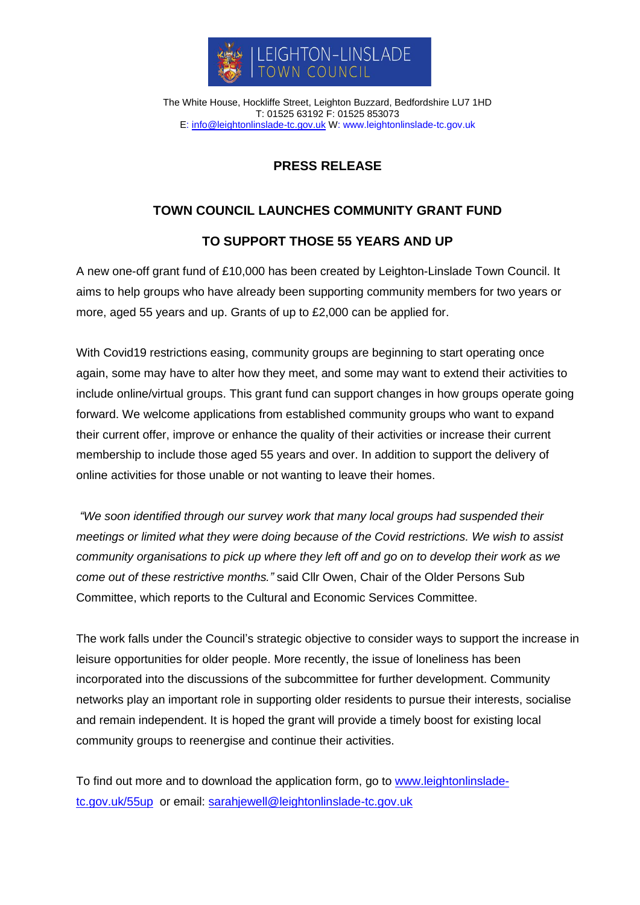

The White House, Hockliffe Street, Leighton Buzzard, Bedfordshire LU7 1HD T: 01525 63192 F: 01525 853073 E: [info@leightonlinslade-tc.gov.uk](mailto:bookings@leightonlinslade-tc.gov.uk) W: [www.leightonlinslade-tc.gov.uk](http://www.leightonlinslade-tc.gov.uk/)

## **PRESS RELEASE**

## **TOWN COUNCIL LAUNCHES COMMUNITY GRANT FUND**

## **TO SUPPORT THOSE 55 YEARS AND UP**

A new one-off grant fund of £10,000 has been created by Leighton-Linslade Town Council. It aims to help groups who have already been supporting community members for two years or more, aged 55 years and up. Grants of up to £2,000 can be applied for.

With Covid19 restrictions easing, community groups are beginning to start operating once again, some may have to alter how they meet, and some may want to extend their activities to include online/virtual groups. This grant fund can support changes in how groups operate going forward. We welcome applications from established community groups who want to expand their current offer, improve or enhance the quality of their activities or increase their current membership to include those aged 55 years and over. In addition to support the delivery of online activities for those unable or not wanting to leave their homes.

*"We soon identified through our survey work that many local groups had suspended their meetings or limited what they were doing because of the Covid restrictions. We wish to assist community organisations to pick up where they left off and go on to develop their work as we come out of these restrictive months."* said Cllr Owen, Chair of the Older Persons Sub Committee, which reports to the Cultural and Economic Services Committee.

The work falls under the Council's strategic objective to consider ways to support the increase in leisure opportunities for older people. More recently, the issue of loneliness has been incorporated into the discussions of the subcommittee for further development. Community networks play an important role in supporting older residents to pursue their interests, socialise and remain independent. It is hoped the grant will provide a timely boost for existing local community groups to reenergise and continue their activities.

To find out more and to download the application form, go to [www.leightonlinslade](http://www.leightonlinslade-tc.gov.uk/55up)[tc.gov.uk/55up](http://www.leightonlinslade-tc.gov.uk/55up) or email: [sarahjewell@leightonlinslade-tc.gov.uk](mailto:sarahjewell@leightonlinslade-tc.gov.uk)